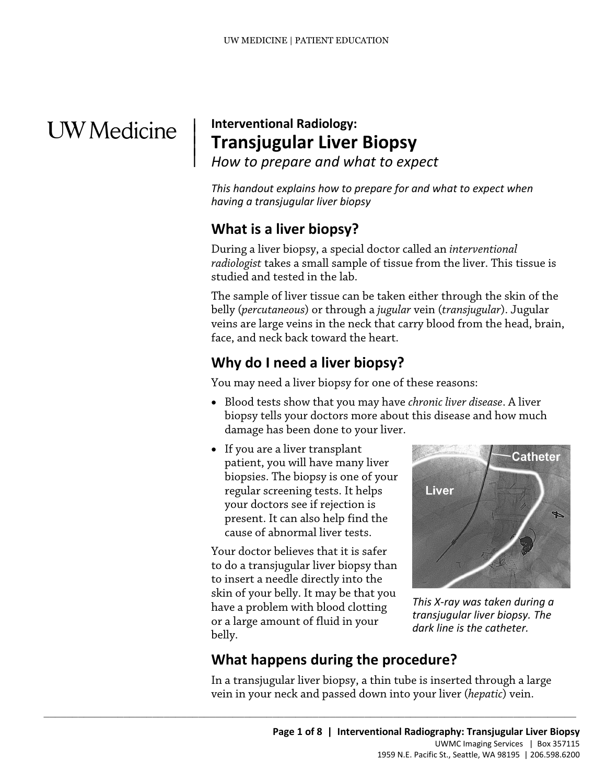# **UW** Medicine

 $\vert$  $\parallel$ 

### | **Interventional Radiology: Transjugular Liver Biopsy**  *How to prepare and what to expect*

*This handout explains how to prepare for and what to expect when having a transjugular liver biopsy* 

# **What is a liver biopsy?**

During a liver biopsy, a special doctor called an *interventional radiologist* takes a small sample of tissue from the liver. This tissue is studied and tested in the lab. The sample of liver tissue can be taken either through the skin of the

studied and tested in the lab.<br>
The sample of liver tissue can be taken either through the skin of the<br>
belly (*percutaneous*) or through a *jugular* vein (*transjugular*). Jugular<br>
veins are large veins in the neck that c belly (*percutaneous*) or through a *jugular* vein (*transjugular*). Jugular veins are large veins in the neck that carry blood from the head, brain, face, and neck back toward the heart.

# **Why do I need a liver biopsy?**

You may need a liver biopsy for one of these reasons:

- Blood tests show that you may have *chronic liver disease*. A liver biopsy tells your doctors more about this disease and how much damage has been done to your liver.
- • If you are a liver transplant regular screening tests. It helps patient, you will have many liver biopsies. The biopsy is one of your your doctors see if rejection is present. It can also help find the cause of abnormal liver tests.

Your doctor believes that it is safer to do a transjugular liver biopsy than to insert a needle directly into the skin of your belly. It may be that you have a problem with blood clotting or a large amount of fluid in your belly.

 $\_$  ,  $\_$  ,  $\_$  ,  $\_$  ,  $\_$  ,  $\_$  ,  $\_$  ,  $\_$  ,  $\_$  ,  $\_$  ,  $\_$  ,  $\_$  ,  $\_$  ,  $\_$  ,  $\_$  ,  $\_$  ,  $\_$  ,  $\_$  ,  $\_$  ,  $\_$  ,  $\_$  ,  $\_$  ,  $\_$  ,  $\_$  ,  $\_$  ,  $\_$  ,  $\_$  ,  $\_$  ,  $\_$  ,  $\_$  ,  $\_$  ,  $\_$  ,  $\_$  ,  $\_$  ,  $\_$  ,  $\_$  ,  $\_$  ,



*This X-ray was taken during a transjugular liver biopsy. The dark line is the catheter.* 

# **What happens during the procedure?**

 In a transjugular liver biopsy, a thin tube is inserted through a large vein in your neck and passed down into your liver (*hepatic*) vein.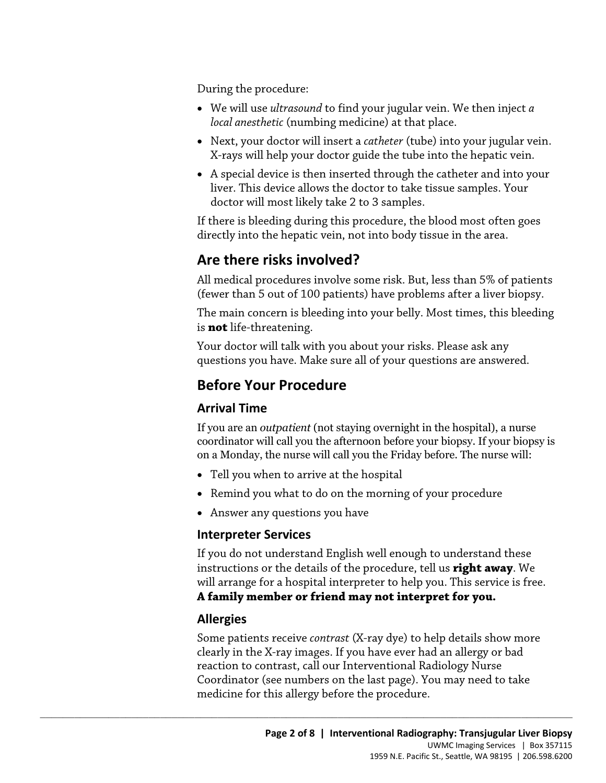During the procedure:

- *local anesthetic* (numbing medicine) at that place. • We will use *ultrasound* to find your jugular vein. We then inject *a*
- • Next, your doctor will insert a *catheter* (tube) into your jugular vein. X-rays will help your doctor guide the tube into the hepatic vein.
- doctor will most likely take 2 to 3 samples. • A special device is then inserted through the catheter and into your liver. This device allows the doctor to take tissue samples. Your

If there is bleeding during this procedure, the blood most often goes directly into the hepatic vein, not into body tissue in the area.

# **Are there risks involved?**

 (fewer than 5 out of 100 patients) have problems after a liver biopsy. All medical procedures involve some risk. But, less than 5% of patients

An medical procedures invoive some risk. But, less than 3% of patients<br>(fewer than 5 out of 100 patients) have problems after a liver biopsy.<br>The main concern is bleeding into your belly. Most times, this bleeding<br>is **not** The main concern is bleeding into your belly. Most times, this bleeding is **not** life-threatening. Your doctor will talk with you about your risks. Please ask any

questions you have. Make sure all of your questions are answered.

# **Before Your Procedure**

### **Arrival Time**

 If you are an *outpatient* (not staying overnight in the hospital), a nurse coordinator will call you the afternoon before your biopsy. If your biopsy is on a Monday, the nurse will call you the Friday before. The nurse will:

• Tell you when to arrive at the hospital

 $\_$  ,  $\_$  ,  $\_$  ,  $\_$  ,  $\_$  ,  $\_$  ,  $\_$  ,  $\_$  ,  $\_$  ,  $\_$  ,  $\_$  ,  $\_$  ,  $\_$  ,  $\_$  ,  $\_$  ,  $\_$  ,  $\_$  ,  $\_$  ,  $\_$  ,  $\_$  ,  $\_$  ,  $\_$  ,  $\_$  ,  $\_$  ,  $\_$  ,  $\_$  ,  $\_$  ,  $\_$  ,  $\_$  ,  $\_$  ,  $\_$  ,  $\_$  ,  $\_$  ,  $\_$  ,  $\_$  ,  $\_$  ,  $\_$  ,

- Remind you what to do on the morning of your procedure
- Answer any questions you have

### **Interpreter Services**

If you do not understand English well enough to understand these instructions or the details of the procedure, tell us **right away**. We will arrange for a hospital interpreter to help you. This service is free. **A family member or friend may not interpret for you.** 

### **Allergies**

 clearly in the X-ray images. If you have ever had an allergy or bad Some patients receive *contrast* (X-ray dye) to help details show more reaction to contrast, call our Interventional Radiology Nurse Coordinator (see numbers on the last page). You may need to take medicine for this allergy before the procedure.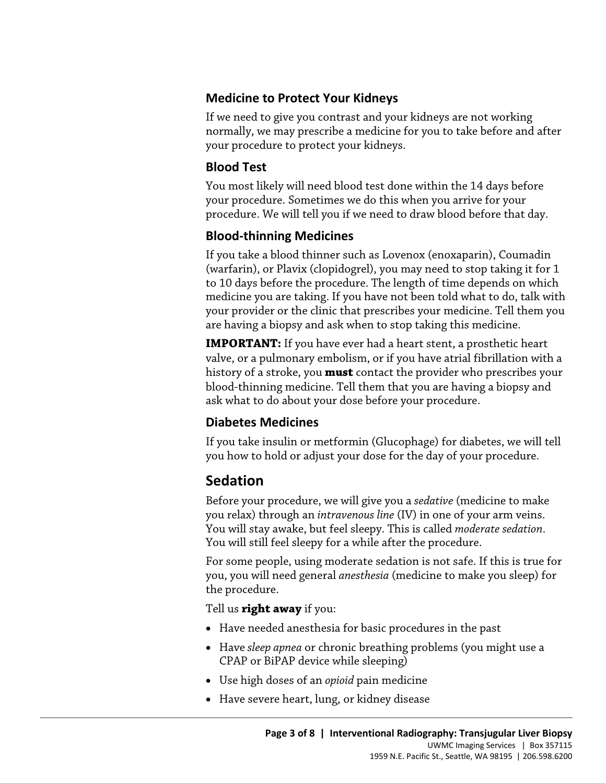#### **Medicine to Protect Your Kidneys**

 your procedure to protect your kidneys. If we need to give you contrast and your kidneys are not working normally, we may prescribe a medicine for you to take before and after

### **Blood Test**

You most likely will need blood test done within the 14 days before your procedure. Sometimes we do this when you arrive for your procedure. We will tell you if we need to draw blood before that day.

### **Blood-thinning Medicines**

If you take a blood thinner such as Lovenox (enoxaparin), Coumadin (warfarin), or Plavix (clopidogrel), you may need to stop taking it for 1 to 10 days before the procedure. The length of time depends on which medicine you are taking. If you have not been told what to do, talk with your provider or the clinic that prescribes your medicine. Tell them you are having a biopsy and ask when to stop taking this medicine.

to 10 days before the procedure. The length of time depends on which<br>medicine you are taking. If you have not been told what to do, talk wi<br>your provider or the clinic that prescribes your medicine. Tell them yo<br>are having **IMPORTANT:** If you have ever had a heart stent, a prosthetic heart valve, or a pulmonary embolism, or if you have atrial fibrillation with a history of a stroke, you **must** contact the provider who prescribes your blood-thinning medicine. Tell them that you are having a biopsy and ask what to do about your dose before your procedure.

### **Diabetes Medicines**

 you how to hold or adjust your dose for the day of your procedure. If you take insulin or metformin (Glucophage) for diabetes, we will tell

# **Sedation**

 Before your procedure, we will give you a *sedative* (medicine to make you relax) through an *intravenous line* (IV) in one of your arm veins. You will stay awake, but feel sleepy. This is called *moderate sedation*. You will still feel sleepy for a while after the procedure.

For some people, using moderate sedation is not safe. If this is true for you, you will need general *anesthesia* (medicine to make you sleep) for the procedure.

Tell us **right away** if you:

- Have needed anesthesia for basic procedures in the past
- Have *sleep apnea* or chronic breathing problems (you might use a CPAP or BiPAP device while sleeping)
- Use high doses of an *opioid* pain medicine
- Have severe heart, lung, or kidney disease

 $\_$  ,  $\_$  ,  $\_$  ,  $\_$  ,  $\_$  ,  $\_$  ,  $\_$  ,  $\_$  ,  $\_$  ,  $\_$  ,  $\_$  ,  $\_$  ,  $\_$  ,  $\_$  ,  $\_$  ,  $\_$  ,  $\_$  ,  $\_$  ,  $\_$  ,  $\_$  ,  $\_$  ,  $\_$  ,  $\_$  ,  $\_$  ,  $\_$  ,  $\_$  ,  $\_$  ,  $\_$  ,  $\_$  ,  $\_$  ,  $\_$  ,  $\_$  ,  $\_$  ,  $\_$  ,  $\_$  ,  $\_$  ,  $\_$  ,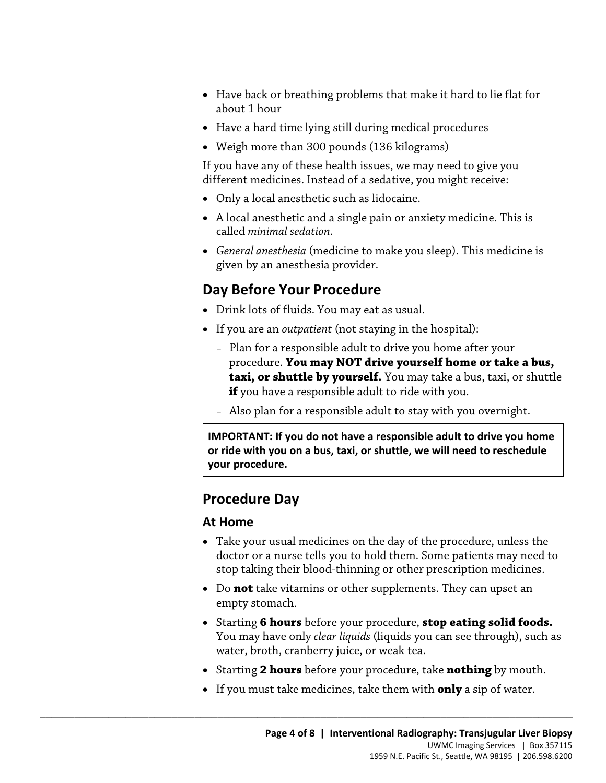- Have back or breathing problems that make it hard to lie flat for about 1 hour
- Have a hard time lying still during medical procedures
- Weigh more than 300 pounds (136 kilograms)

If you have any of these health issues, we may need to give you different medicines. Instead of a sedative, you might receive:

- Only a local anesthetic such as lidocaine.
- A local anesthetic and a single pain or anxiety medicine. This is called *minimal sedation*.
- *General anesthesia* (medicine to make you sleep). This medicine is given by an anesthesia provider.

# **Day Before Your Procedure**

- Drink lots of fluids. You may eat as usual.
- If you are an *outpatient* (not staying in the hospital):
- procedure. **You may NOT drive yourself home or take a bus, Day Before Your Procedure**<br>
• Drink lots of fluids. You may eat as usual.<br>
• If you are an *outpatient* (not staying in the hospital):<br>
• Plan for a responsible adult to drive you home after your<br>
procedure. **You may NOT** – Plan for a responsible adult to drive you home after your **taxi, or shuttle by yourself.** You may take a bus, taxi, or shuttle **if** you have a responsible adult to ride with you.
	- Also plan for a responsible adult to stay with you overnight.

 **or ride with you on a bus, taxi, or shuttle, we will need to reschedule IMPORTANT: If you do not have a responsible adult to drive you home your procedure.** 

### **Procedure Day**

#### **At Home**

- doctor or a nurse tells you to hold them. Some patients may need to • Take your usual medicines on the day of the procedure, unless the stop taking their blood-thinning or other prescription medicines.
- • Do **not** take vitamins or other supplements. They can upset an empty stomach.
- Starting **6 hours** before your procedure, **stop eating solid foods.**  You may have only *clear liquids* (liquids you can see through), such as water, broth, cranberry juice, or weak tea.
- Starting **2 hours** before your procedure, take **nothing** by mouth.
- If you must take medicines, take them with **only** a sip of water.

 $\_$  ,  $\_$  ,  $\_$  ,  $\_$  ,  $\_$  ,  $\_$  ,  $\_$  ,  $\_$  ,  $\_$  ,  $\_$  ,  $\_$  ,  $\_$  ,  $\_$  ,  $\_$  ,  $\_$  ,  $\_$  ,  $\_$  ,  $\_$  ,  $\_$  ,  $\_$  ,  $\_$  ,  $\_$  ,  $\_$  ,  $\_$  ,  $\_$  ,  $\_$  ,  $\_$  ,  $\_$  ,  $\_$  ,  $\_$  ,  $\_$  ,  $\_$  ,  $\_$  ,  $\_$  ,  $\_$  ,  $\_$  ,  $\_$  ,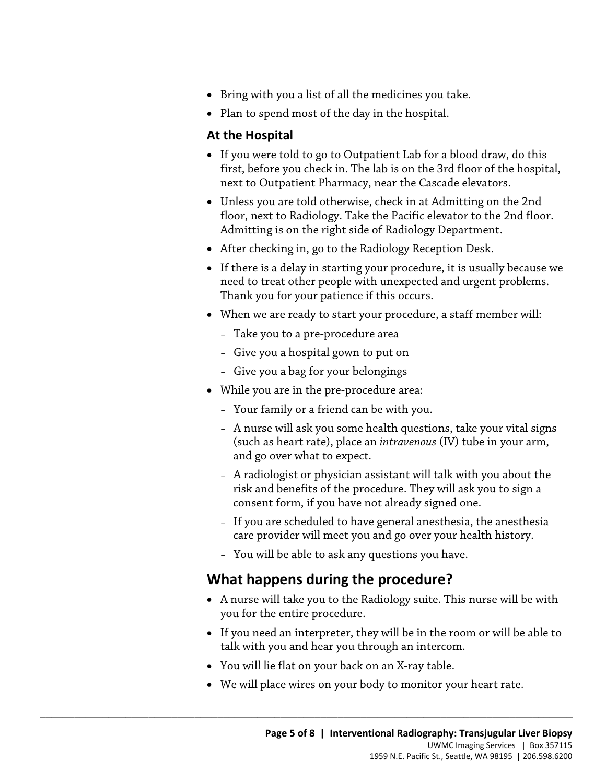- Bring with you a list of all the medicines you take.
- Plan to spend most of the day in the hospital.

#### **At the Hospital**

- • If you were told to go to Outpatient Lab for a blood draw, do this first, before you check in. The lab is on the 3rd floor of the hospital, next to Outpatient Pharmacy, near the Cascade elevators.
- Unless you are told otherwise, check in at Admitting on the 2nd floor, next to Radiology. Take the Pacific elevator to the 2nd floor. Admitting is on the right side of Radiology Department.
- After checking in, go to the Radiology Reception Desk.
- need to treat other people with unexpected and urgent problems.<br>
Thank you for your patience if this occurs.<br>
 When we are ready to start your procedure, a staff member will:<br>
 Take you to a pre-procedure area<br>
 Give yo • If there is a delay in starting your procedure, it is usually because we need to treat other people with unexpected and urgent problems. Thank you for your patience if this occurs.
	- When we are ready to start your procedure, a staff member will:
		- Take you to a pre-procedure area
		- Give you a hospital gown to put on
		- Give you a bag for your belongings
	- While you are in the pre-procedure area:
		- Your family or a friend can be with you.
		- A nurse will ask you some health questions, take your vital signs (such as heart rate), place an *intravenous* (IV) tube in your arm, and go over what to expect.
		- A radiologist or physician assistant will talk with you about the risk and benefits of the procedure. They will ask you to sign a consent form, if you have not already signed one.
		- If you are scheduled to have general anesthesia, the anesthesia care provider will meet you and go over your health history.
		- You will be able to ask any questions you have.

### **What happens during the procedure?**

- • A nurse will take you to the Radiology suite. This nurse will be with you for the entire procedure.
- If you need an interpreter, they will be in the room or will be able to talk with you and hear you through an intercom.
- You will lie flat on your back on an X-ray table.

 $\_$  ,  $\_$  ,  $\_$  ,  $\_$  ,  $\_$  ,  $\_$  ,  $\_$  ,  $\_$  ,  $\_$  ,  $\_$  ,  $\_$  ,  $\_$  ,  $\_$  ,  $\_$  ,  $\_$  ,  $\_$  ,  $\_$  ,  $\_$  ,  $\_$  ,  $\_$  ,  $\_$  ,  $\_$  ,  $\_$  ,  $\_$  ,  $\_$  ,  $\_$  ,  $\_$  ,  $\_$  ,  $\_$  ,  $\_$  ,  $\_$  ,  $\_$  ,  $\_$  ,  $\_$  ,  $\_$  ,  $\_$  ,  $\_$  ,

• We will place wires on your body to monitor your heart rate.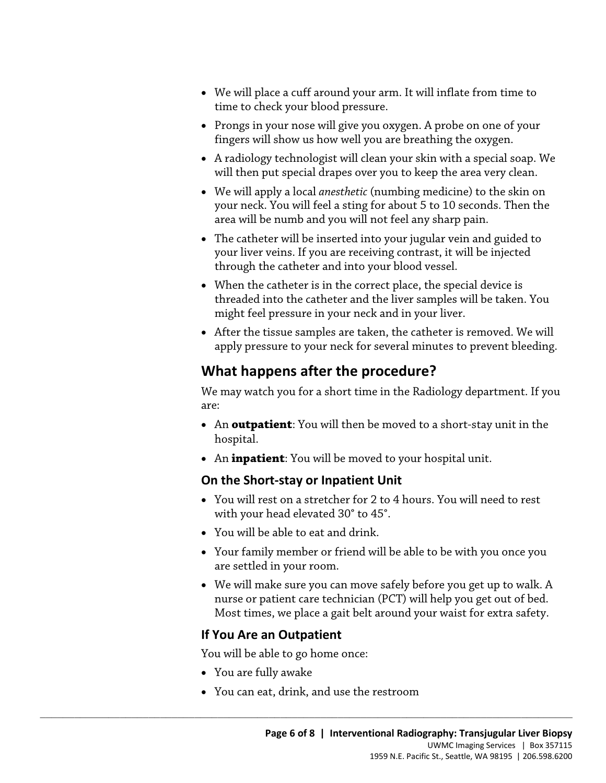- • We will place a cuff around your arm. It will inflate from time to time to check your blood pressure.
- Prongs in your nose will give you oxygen. A probe on one of your fingers will show us how well you are breathing the oxygen.
- A radiology technologist will clean your skin with a special soap. We will then put special drapes over you to keep the area very clean.
- We will apply a local *anesthetic* (numbing medicine) to the skin on your neck. You will feel a sting for about 5 to 10 seconds. Then the area will be numb and you will not feel any sharp pain.
- your liver veins. If you are receiving contrast, it will be injected • The catheter will be inserted into your jugular vein and guided to through the catheter and into your blood vessel.
- When the catheter is in the correct place, the special device is threaded into the catheter and the liver samples will be taken. You might feel pressure in your neck and in your liver.<br>• After the tissue samples are take • When the catheter is in the correct place, the special device is threaded into the catheter and the liver samples will be taken. You might feel pressure in your neck and in your liver.
	- After the tissue samples are taken, the catheter is removed. We will apply pressure to your neck for several minutes to prevent bleeding.

# **What happens after the procedure?**

We may watch you for a short time in the Radiology department. If you are:

- An **outpatient**: You will then be moved to a short-stay unit in the hospital.
- An **inpatient**: You will be moved to your hospital unit.

#### **On the Short-stay or Inpatient Unit**

- You will rest on a stretcher for 2 to 4 hours. You will need to rest with your head elevated 30° to 45°.
- You will be able to eat and drink.
- Your family member or friend will be able to be with you once you are settled in your room.
- We will make sure you can move safely before you get up to walk. A nurse or patient care technician (PCT) will help you get out of bed. Most times, we place a gait belt around your waist for extra safety.

#### **If You Are an Outpatient**

You will be able to go home once:

- You are fully awake
- You can eat, drink, and use the restroom

 $\_$  ,  $\_$  ,  $\_$  ,  $\_$  ,  $\_$  ,  $\_$  ,  $\_$  ,  $\_$  ,  $\_$  ,  $\_$  ,  $\_$  ,  $\_$  ,  $\_$  ,  $\_$  ,  $\_$  ,  $\_$  ,  $\_$  ,  $\_$  ,  $\_$  ,  $\_$  ,  $\_$  ,  $\_$  ,  $\_$  ,  $\_$  ,  $\_$  ,  $\_$  ,  $\_$  ,  $\_$  ,  $\_$  ,  $\_$  ,  $\_$  ,  $\_$  ,  $\_$  ,  $\_$  ,  $\_$  ,  $\_$  ,  $\_$  ,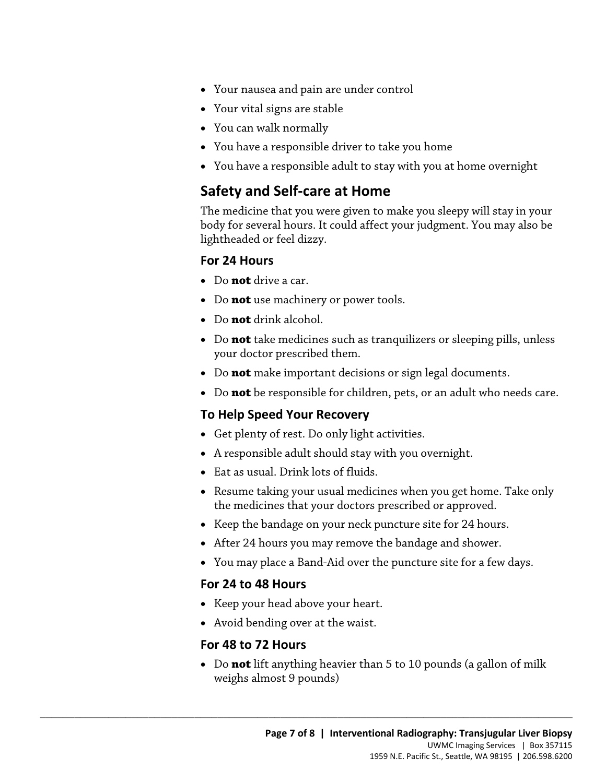- Your nausea and pain are under control
- Your vital signs are stable
- You can walk normally
- You have a responsible driver to take you home
- You have a responsible adult to stay with you at home overnight

### **Safety and Self-care at Home**

The medicine that you were given to make you sleepy will stay in your body for several hours. It could affect your judgment. You may also be lightheaded or feel dizzy.

#### **For 24 Hours**

- Do **not** drive a car.
- Do **not** use machinery or power tools.
- Do **not** drink alcohol.
- Do **not** drive a car.<br>
 Do **not** drink alcohol.<br>
 Do **not** drink alcohol.<br>
 Do **not** take medicines such as tranquilizers or sleeping pills, unless<br>
your doctor prescribed them.<br>
 Do **not** make important decisions or • Do **not** take medicines such as tranquilizers or sleeping pills, unless your doctor prescribed them.
	- Do **not** make important decisions or sign legal documents.
	- Do **not** be responsible for children, pets, or an adult who needs care.

#### **To Help Speed Your Recovery**

- Get plenty of rest. Do only light activities.
- A responsible adult should stay with you overnight.
- Eat as usual. Drink lots of fluids.
- • Resume taking your usual medicines when you get home. Take only the medicines that your doctors prescribed or approved.
- Keep the bandage on your neck puncture site for 24 hours.
- After 24 hours you may remove the bandage and shower.
- You may place a Band-Aid over the puncture site for a few days.

#### **For 24 to 48 Hours**

- Keep your head above your heart.
- Avoid bending over at the waist.

 $\_$  ,  $\_$  ,  $\_$  ,  $\_$  ,  $\_$  ,  $\_$  ,  $\_$  ,  $\_$  ,  $\_$  ,  $\_$  ,  $\_$  ,  $\_$  ,  $\_$  ,  $\_$  ,  $\_$  ,  $\_$  ,  $\_$  ,  $\_$  ,  $\_$  ,  $\_$  ,  $\_$  ,  $\_$  ,  $\_$  ,  $\_$  ,  $\_$  ,  $\_$  ,  $\_$  ,  $\_$  ,  $\_$  ,  $\_$  ,  $\_$  ,  $\_$  ,  $\_$  ,  $\_$  ,  $\_$  ,  $\_$  ,  $\_$  ,

#### **For 48 to 72 Hours**

 weighs almost 9 pounds) • Do **not** lift anything heavier than 5 to 10 pounds (a gallon of milk